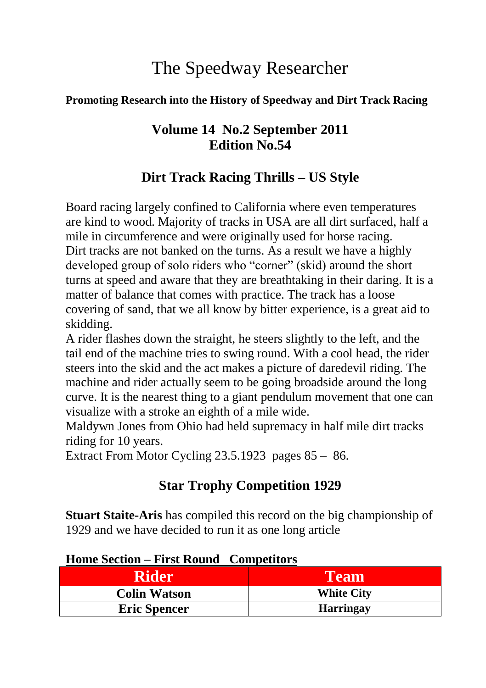# The Speedway Researcher

#### **Promoting Research into the History of Speedway and Dirt Track Racing**

## **Volume 14 No.2 September 2011 Edition No.54**

## **Dirt Track Racing Thrills – US Style**

Board racing largely confined to California where even temperatures are kind to wood. Majority of tracks in USA are all dirt surfaced, half a mile in circumference and were originally used for horse racing. Dirt tracks are not banked on the turns. As a result we have a highly developed group of solo riders who "corner" (skid) around the short turns at speed and aware that they are breathtaking in their daring. It is a matter of balance that comes with practice. The track has a loose covering of sand, that we all know by bitter experience, is a great aid to skidding.

A rider flashes down the straight, he steers slightly to the left, and the tail end of the machine tries to swing round. With a cool head, the rider steers into the skid and the act makes a picture of daredevil riding. The machine and rider actually seem to be going broadside around the long curve. It is the nearest thing to a giant pendulum movement that one can visualize with a stroke an eighth of a mile wide.

Maldywn Jones from Ohio had held supremacy in half mile dirt tracks riding for 10 years.

Extract From Motor Cycling 23.5.1923 pages 85 – 86.

## **Star Trophy Competition 1929**

**Stuart Staite-Aris** has compiled this record on the big championship of 1929 and we have decided to run it as one long article

#### **Home Section – First Round Competitors**

| Rider               | Team              |
|---------------------|-------------------|
| <b>Colin Watson</b> | <b>White City</b> |
| <b>Eric Spencer</b> | <b>Harringay</b>  |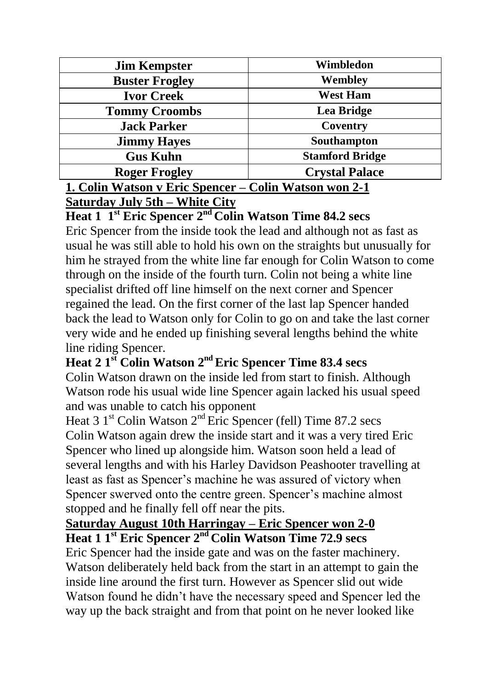| <b>Jim Kempster</b>   | Wimbledon              |
|-----------------------|------------------------|
| <b>Buster Frogley</b> | Wembley                |
| <b>Ivor Creek</b>     | <b>West Ham</b>        |
| <b>Tommy Croombs</b>  | Lea Bridge             |
| <b>Jack Parker</b>    | Coventry               |
| <b>Jimmy Hayes</b>    | Southampton            |
| <b>Gus Kuhn</b>       | <b>Stamford Bridge</b> |
| <b>Roger Frogley</b>  | <b>Crystal Palace</b>  |
| - - -                 | ~ -                    |

#### **1. Colin Watson v Eric Spencer – Colin Watson won 2-1 Saturday July 5th – White City**

**Heat 1 1st Eric Spencer 2nd Colin Watson Time 84.2 secs**

Eric Spencer from the inside took the lead and although not as fast as usual he was still able to hold his own on the straights but unusually for him he strayed from the white line far enough for Colin Watson to come through on the inside of the fourth turn. Colin not being a white line specialist drifted off line himself on the next corner and Spencer regained the lead. On the first corner of the last lap Spencer handed back the lead to Watson only for Colin to go on and take the last corner very wide and he ended up finishing several lengths behind the white line riding Spencer.

**Heat 2 1st Colin Watson 2nd Eric Spencer Time 83.4 secs**

Colin Watson drawn on the inside led from start to finish. Although Watson rode his usual wide line Spencer again lacked his usual speed and was unable to catch his opponent

Heat 3  $1<sup>st</sup>$  Colin Watson  $2<sup>nd</sup>$  Eric Spencer (fell) Time 87.2 secs Colin Watson again drew the inside start and it was a very tired Eric Spencer who lined up alongside him. Watson soon held a lead of several lengths and with his Harley Davidson Peashooter travelling at least as fast as Spencer's machine he was assured of victory when Spencer swerved onto the centre green. Spencer's machine almost stopped and he finally fell off near the pits.

#### **Saturday August 10th Harringay – Eric Spencer won 2-0 Heat 1 1st Eric Spencer 2nd Colin Watson Time 72.9 secs**

Eric Spencer had the inside gate and was on the faster machinery. Watson deliberately held back from the start in an attempt to gain the inside line around the first turn. However as Spencer slid out wide Watson found he didn't have the necessary speed and Spencer led the way up the back straight and from that point on he never looked like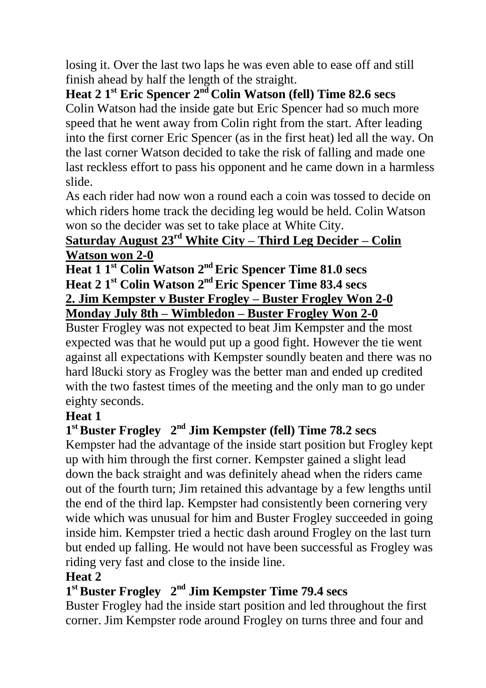losing it. Over the last two laps he was even able to ease off and still finish ahead by half the length of the straight.

**Heat 2 1st Eric Spencer 2nd Colin Watson (fell) Time 82.6 secs** Colin Watson had the inside gate but Eric Spencer had so much more speed that he went away from Colin right from the start. After leading into the first corner Eric Spencer (as in the first heat) led all the way. On the last corner Watson decided to take the risk of falling and made one last reckless effort to pass his opponent and he came down in a harmless slide.

As each rider had now won a round each a coin was tossed to decide on which riders home track the deciding leg would be held. Colin Watson won so the decider was set to take place at White City.

#### **Saturday August 23rd White City – Third Leg Decider – Colin Watson won 2-0**

**Heat 1 1st Colin Watson 2nd Eric Spencer Time 81.0 secs Heat 2 1st Colin Watson 2nd Eric Spencer Time 83.4 secs 2. Jim Kempster v Buster Frogley – Buster Frogley Won 2-0 Monday July 8th – Wimbledon – Buster Frogley Won 2-0**

Buster Frogley was not expected to beat Jim Kempster and the most expected was that he would put up a good fight. However the tie went against all expectations with Kempster soundly beaten and there was no hard l8ucki story as Frogley was the better man and ended up credited with the two fastest times of the meeting and the only man to go under eighty seconds.

## **Heat 1**

## **1 stBuster Frogley 2 nd Jim Kempster (fell) Time 78.2 secs**

Kempster had the advantage of the inside start position but Frogley kept up with him through the first corner. Kempster gained a slight lead down the back straight and was definitely ahead when the riders came out of the fourth turn; Jim retained this advantage by a few lengths until the end of the third lap. Kempster had consistently been cornering very wide which was unusual for him and Buster Frogley succeeded in going inside him. Kempster tried a hectic dash around Frogley on the last turn but ended up falling. He would not have been successful as Frogley was riding very fast and close to the inside line.

#### **Heat 2**

## **1 stBuster Frogley 2 nd Jim Kempster Time 79.4 secs**

Buster Frogley had the inside start position and led throughout the first corner. Jim Kempster rode around Frogley on turns three and four and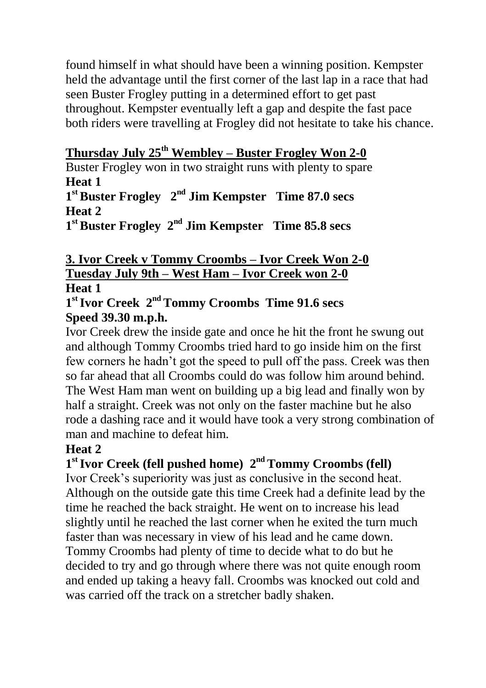found himself in what should have been a winning position. Kempster held the advantage until the first corner of the last lap in a race that had seen Buster Frogley putting in a determined effort to get past throughout. Kempster eventually left a gap and despite the fast pace both riders were travelling at Frogley did not hesitate to take his chance.

#### **Thursday July 25th Wembley – Buster Frogley Won 2-0**

Buster Frogley won in two straight runs with plenty to spare **Heat 1 1 stBuster Frogley 2 nd Jim Kempster Time 87.0 secs Heat 2**

1<sup>st</sup> Buster Frogley 2<sup>nd</sup> Jim Kempster Time 85.8 secs

#### **3. Ivor Creek v Tommy Croombs – Ivor Creek Won 2-0 Tuesday July 9th – West Ham – Ivor Creek won 2-0 Heat 1**

**1 stIvor Creek 2 nd Tommy Croombs Time 91.6 secs Speed 39.30 m.p.h.**

Ivor Creek drew the inside gate and once he hit the front he swung out and although Tommy Croombs tried hard to go inside him on the first few corners he hadn't got the speed to pull off the pass. Creek was then so far ahead that all Croombs could do was follow him around behind. The West Ham man went on building up a big lead and finally won by half a straight. Creek was not only on the faster machine but he also rode a dashing race and it would have took a very strong combination of man and machine to defeat him.

#### **Heat 2**

## **1 stIvor Creek (fell pushed home) 2 nd Tommy Croombs (fell)**

Ivor Creek's superiority was just as conclusive in the second heat. Although on the outside gate this time Creek had a definite lead by the time he reached the back straight. He went on to increase his lead slightly until he reached the last corner when he exited the turn much faster than was necessary in view of his lead and he came down. Tommy Croombs had plenty of time to decide what to do but he decided to try and go through where there was not quite enough room and ended up taking a heavy fall. Croombs was knocked out cold and was carried off the track on a stretcher badly shaken.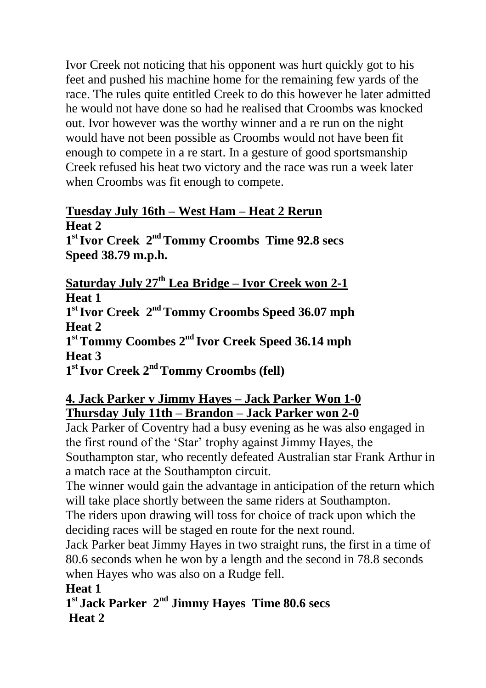Ivor Creek not noticing that his opponent was hurt quickly got to his feet and pushed his machine home for the remaining few yards of the race. The rules quite entitled Creek to do this however he later admitted he would not have done so had he realised that Croombs was knocked out. Ivor however was the worthy winner and a re run on the night would have not been possible as Croombs would not have been fit enough to compete in a re start. In a gesture of good sportsmanship Creek refused his heat two victory and the race was run a week later when Croombs was fit enough to compete.

#### **Tuesday July 16th – West Ham – Heat 2 Rerun Heat 2**

**1 stIvor Creek 2 nd Tommy Croombs Time 92.8 secs Speed 38.79 m.p.h.**

**Saturday July 27th Lea Bridge – Ivor Creek won 2-1 Heat 1**

**1 stIvor Creek 2 nd Tommy Croombs Speed 36.07 mph Heat 2**

**1 stTommy Coombes 2 nd Ivor Creek Speed 36.14 mph Heat 3**

**1 stIvor Creek 2 nd Tommy Croombs (fell)**

#### **4. Jack Parker v Jimmy Hayes – Jack Parker Won 1-0 Thursday July 11th – Brandon – Jack Parker won 2-0**

Jack Parker of Coventry had a busy evening as he was also engaged in the first round of the 'Star' trophy against Jimmy Hayes, the Southampton star, who recently defeated Australian star Frank Arthur in a match race at the Southampton circuit.

The winner would gain the advantage in anticipation of the return which will take place shortly between the same riders at Southampton.

The riders upon drawing will toss for choice of track upon which the deciding races will be staged en route for the next round.

Jack Parker beat Jimmy Hayes in two straight runs, the first in a time of 80.6 seconds when he won by a length and the second in 78.8 seconds when Hayes who was also on a Rudge fell.

**Heat 1**

1<sup>st</sup> Jack Parker 2<sup>nd</sup> Jimmy Hayes Time 80.6 secs **Heat 2**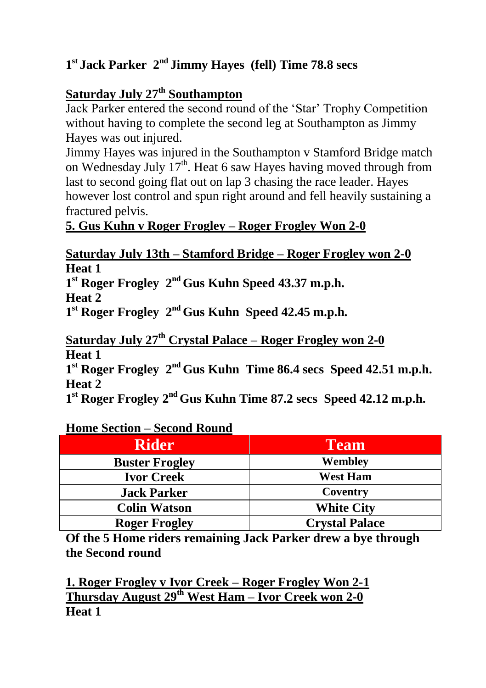## **1 st Jack Parker 2 nd Jimmy Hayes (fell) Time 78.8 secs**

## **Saturday July 27th Southampton**

Jack Parker entered the second round of the 'Star' Trophy Competition without having to complete the second leg at Southampton as Jimmy Hayes was out injured.

Jimmy Hayes was injured in the Southampton v Stamford Bridge match on Wednesday July  $17<sup>th</sup>$ . Heat 6 saw Hayes having moved through from last to second going flat out on lap 3 chasing the race leader. Hayes however lost control and spun right around and fell heavily sustaining a fractured pelvis.

## **5. Gus Kuhn v Roger Frogley – Roger Frogley Won 2-0**

#### **Saturday July 13th – Stamford Bridge – Roger Frogley won 2-0 Heat 1**

**1 st Roger Frogley 2 nd Gus Kuhn Speed 43.37 m.p.h. Heat 2**

**1 st Roger Frogley 2 nd Gus Kuhn Speed 42.45 m.p.h.**

**Saturday July 27th Crystal Palace – Roger Frogley won 2-0 Heat 1**

1<sup>st</sup> Roger Frogley 2<sup>nd</sup> Gus Kuhn Time 86.4 secs Speed 42.51 m.p.h. **Heat 2**

**1 st Roger Frogley 2 nd Gus Kuhn Time 87.2 secs Speed 42.12 m.p.h.**

#### **Home Section – Second Round**

| <b>Rider</b>          | <b>Team</b>           |
|-----------------------|-----------------------|
| <b>Buster Frogley</b> | Wembley               |
| <b>Ivor Creek</b>     | <b>West Ham</b>       |
| <b>Jack Parker</b>    | Coventry              |
| <b>Colin Watson</b>   | <b>White City</b>     |
| <b>Roger Frogley</b>  | <b>Crystal Palace</b> |

**Of the 5 Home riders remaining Jack Parker drew a bye through the Second round**

**1. Roger Frogley v Ivor Creek – Roger Frogley Won 2-1 Thursday August 29th West Ham – Ivor Creek won 2-0 Heat 1**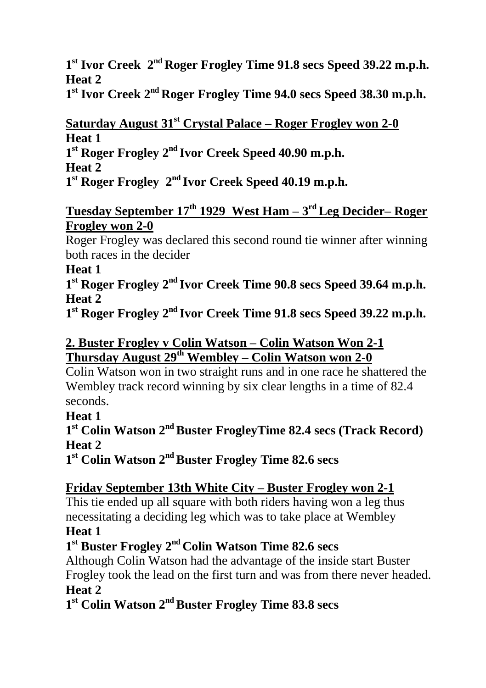**1 st Ivor Creek 2 nd Roger Frogley Time 91.8 secs Speed 39.22 m.p.h. Heat 2**

**1 st Ivor Creek 2 nd Roger Frogley Time 94.0 secs Speed 38.30 m.p.h.**

#### **Saturday August 31st Crystal Palace – Roger Frogley won 2-0 Heat 1**

**1 st Roger Frogley 2 nd Ivor Creek Speed 40.90 m.p.h.**

**Heat 2**

1<sup>st</sup> Roger Frogley 2<sup>nd</sup> Ivor Creek Speed 40.19 m.p.h.

#### **Tuesday September 17th 1929 West Ham – 3 rd Leg Decider– Roger Frogley won 2-0**

Roger Frogley was declared this second round tie winner after winning both races in the decider

#### **Heat 1**

**1 st Roger Frogley 2 nd Ivor Creek Time 90.8 secs Speed 39.64 m.p.h. Heat 2**

**1 st Roger Frogley 2 nd Ivor Creek Time 91.8 secs Speed 39.22 m.p.h.**

#### **2. Buster Frogley v Colin Watson – Colin Watson Won 2-1 Thursday August 29th Wembley – Colin Watson won 2-0**

Colin Watson won in two straight runs and in one race he shattered the Wembley track record winning by six clear lengths in a time of 82.4 seconds.

## **Heat 1**

**1 st Colin Watson 2 ndBuster FrogleyTime 82.4 secs (Track Record) Heat 2**

**1 st Colin Watson 2 ndBuster Frogley Time 82.6 secs**

## **Friday September 13th White City – Buster Frogley won 2-1**

This tie ended up all square with both riders having won a leg thus necessitating a deciding leg which was to take place at Wembley

## **Heat 1**

## **1 st Buster Frogley 2 nd Colin Watson Time 82.6 secs**

Although Colin Watson had the advantage of the inside start Buster Frogley took the lead on the first turn and was from there never headed. **Heat 2**

## **1 st Colin Watson 2 ndBuster Frogley Time 83.8 secs**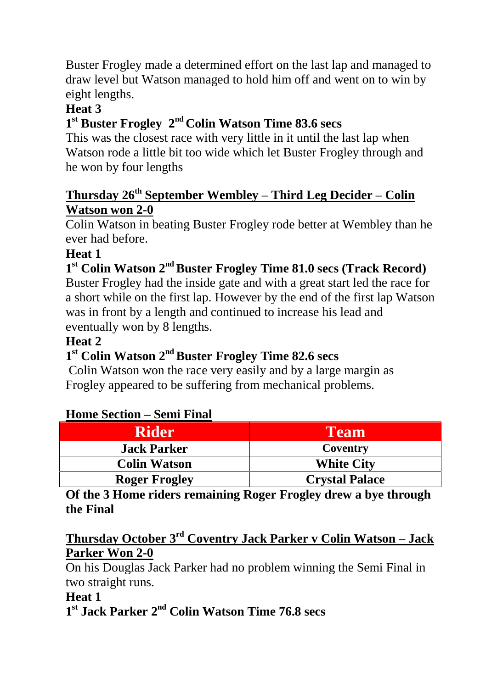Buster Frogley made a determined effort on the last lap and managed to draw level but Watson managed to hold him off and went on to win by eight lengths.

#### **Heat 3**

## **1 st Buster Frogley 2 nd Colin Watson Time 83.6 secs**

This was the closest race with very little in it until the last lap when Watson rode a little bit too wide which let Buster Frogley through and he won by four lengths

#### **Thursday 26th September Wembley – Third Leg Decider – Colin Watson won 2-0**

Colin Watson in beating Buster Frogley rode better at Wembley than he ever had before.

## **Heat 1**

## **1 st Colin Watson 2 ndBuster Frogley Time 81.0 secs (Track Record)**

Buster Frogley had the inside gate and with a great start led the race for a short while on the first lap. However by the end of the first lap Watson was in front by a length and continued to increase his lead and eventually won by 8 lengths.

#### **Heat 2**

## **1 st Colin Watson 2 ndBuster Frogley Time 82.6 secs**

Colin Watson won the race very easily and by a large margin as Frogley appeared to be suffering from mechanical problems.

#### **Home Section – Semi Final**

| <b>Rider</b>         | <b>Team</b>           |
|----------------------|-----------------------|
| <b>Jack Parker</b>   | Coventry              |
| <b>Colin Watson</b>  | <b>White City</b>     |
| <b>Roger Frogley</b> | <b>Crystal Palace</b> |

#### **Of the 3 Home riders remaining Roger Frogley drew a bye through the Final**

#### **Thursday October 3rd Coventry Jack Parker v Colin Watson – Jack Parker Won 2-0**

On his Douglas Jack Parker had no problem winning the Semi Final in two straight runs.

#### **Heat 1**

**1 st Jack Parker 2 nd Colin Watson Time 76.8 secs**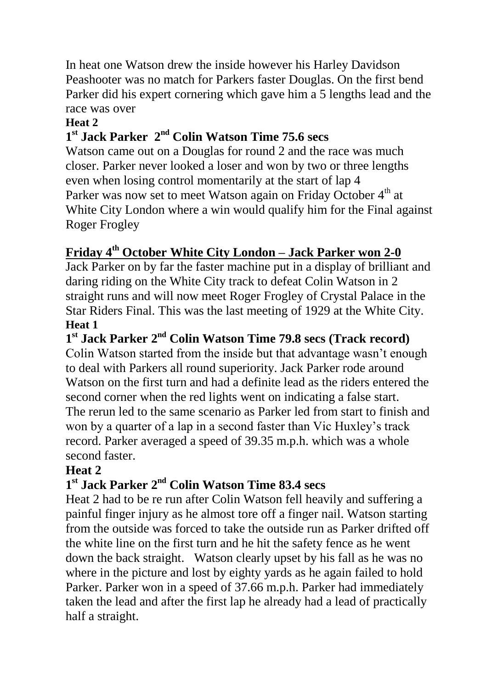In heat one Watson drew the inside however his Harley Davidson Peashooter was no match for Parkers faster Douglas. On the first bend Parker did his expert cornering which gave him a 5 lengths lead and the race was over

#### **Heat 2**

## **1 st Jack Parker 2 nd Colin Watson Time 75.6 secs**

Watson came out on a Douglas for round 2 and the race was much closer. Parker never looked a loser and won by two or three lengths even when losing control momentarily at the start of lap 4 Parker was now set to meet Watson again on Friday October 4<sup>th</sup> at White City London where a win would qualify him for the Final against Roger Frogley

## **Friday 4th October White City London – Jack Parker won 2-0**

Jack Parker on by far the faster machine put in a display of brilliant and daring riding on the White City track to defeat Colin Watson in 2 straight runs and will now meet Roger Frogley of Crystal Palace in the Star Riders Final. This was the last meeting of 1929 at the White City. **Heat 1**

**1 st Jack Parker 2 nd Colin Watson Time 79.8 secs (Track record)** Colin Watson started from the inside but that advantage wasn't enough to deal with Parkers all round superiority. Jack Parker rode around Watson on the first turn and had a definite lead as the riders entered the second corner when the red lights went on indicating a false start. The rerun led to the same scenario as Parker led from start to finish and won by a quarter of a lap in a second faster than Vic Huxley's track record. Parker averaged a speed of 39.35 m.p.h. which was a whole second faster.

## **Heat 2**

## **1 st Jack Parker 2 nd Colin Watson Time 83.4 secs**

Heat 2 had to be re run after Colin Watson fell heavily and suffering a painful finger injury as he almost tore off a finger nail. Watson starting from the outside was forced to take the outside run as Parker drifted off the white line on the first turn and he hit the safety fence as he went down the back straight. Watson clearly upset by his fall as he was no where in the picture and lost by eighty yards as he again failed to hold Parker. Parker won in a speed of 37.66 m.p.h. Parker had immediately taken the lead and after the first lap he already had a lead of practically half a straight.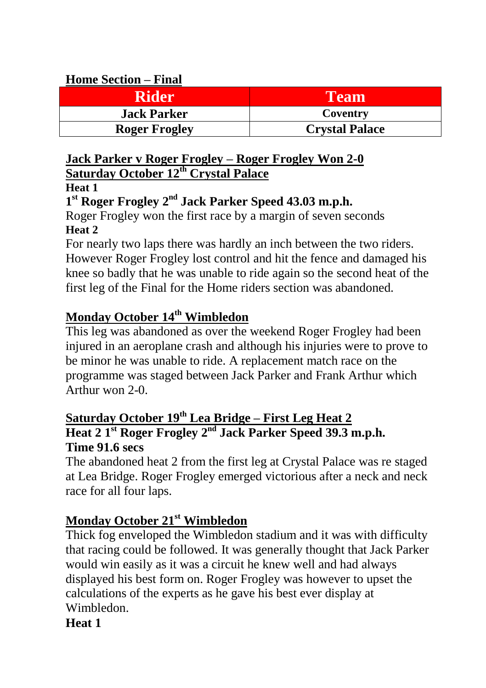#### **Home Section – Final**

| <b>Rider</b>         | Team                  |
|----------------------|-----------------------|
| <b>Jack Parker</b>   | Coventry              |
| <b>Roger Frogley</b> | <b>Crystal Palace</b> |

#### **Jack Parker v Roger Frogley – Roger Frogley Won 2-0 Saturday October 12th Crystal Palace**

#### **Heat 1**

## **1 st Roger Frogley 2 nd Jack Parker Speed 43.03 m.p.h.**

Roger Frogley won the first race by a margin of seven seconds **Heat 2**

For nearly two laps there was hardly an inch between the two riders. However Roger Frogley lost control and hit the fence and damaged his knee so badly that he was unable to ride again so the second heat of the first leg of the Final for the Home riders section was abandoned.

## **Monday October 14th Wimbledon**

This leg was abandoned as over the weekend Roger Frogley had been injured in an aeroplane crash and although his injuries were to prove to be minor he was unable to ride. A replacement match race on the programme was staged between Jack Parker and Frank Arthur which Arthur won  $2-0$ .

#### **Saturday October 19th Lea Bridge – First Leg Heat 2 Heat 2 1 st Roger Frogley 2 nd Jack Parker Speed 39.3 m.p.h. Time 91.6 secs**

The abandoned heat 2 from the first leg at Crystal Palace was re staged at Lea Bridge. Roger Frogley emerged victorious after a neck and neck race for all four laps.

## **Monday October 21st Wimbledon**

Thick fog enveloped the Wimbledon stadium and it was with difficulty that racing could be followed. It was generally thought that Jack Parker would win easily as it was a circuit he knew well and had always displayed his best form on. Roger Frogley was however to upset the calculations of the experts as he gave his best ever display at Wimbledon.

## **Heat 1**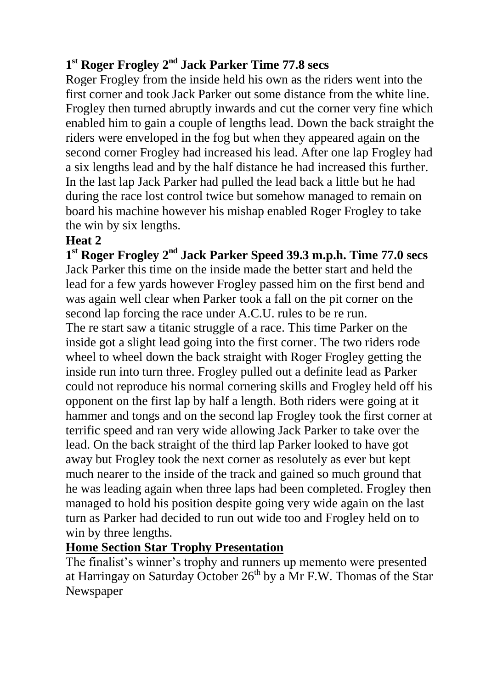#### **1 st Roger Frogley 2 nd Jack Parker Time 77.8 secs**

Roger Frogley from the inside held his own as the riders went into the first corner and took Jack Parker out some distance from the white line. Frogley then turned abruptly inwards and cut the corner very fine which enabled him to gain a couple of lengths lead. Down the back straight the riders were enveloped in the fog but when they appeared again on the second corner Frogley had increased his lead. After one lap Frogley had a six lengths lead and by the half distance he had increased this further. In the last lap Jack Parker had pulled the lead back a little but he had during the race lost control twice but somehow managed to remain on board his machine however his mishap enabled Roger Frogley to take the win by six lengths.

#### **Heat 2**

**1 st Roger Frogley 2 nd Jack Parker Speed 39.3 m.p.h. Time 77.0 secs** Jack Parker this time on the inside made the better start and held the lead for a few yards however Frogley passed him on the first bend and was again well clear when Parker took a fall on the pit corner on the second lap forcing the race under A.C.U. rules to be re run.

The re start saw a titanic struggle of a race. This time Parker on the inside got a slight lead going into the first corner. The two riders rode wheel to wheel down the back straight with Roger Frogley getting the inside run into turn three. Frogley pulled out a definite lead as Parker could not reproduce his normal cornering skills and Frogley held off his opponent on the first lap by half a length. Both riders were going at it hammer and tongs and on the second lap Frogley took the first corner at terrific speed and ran very wide allowing Jack Parker to take over the lead. On the back straight of the third lap Parker looked to have got away but Frogley took the next corner as resolutely as ever but kept much nearer to the inside of the track and gained so much ground that he was leading again when three laps had been completed. Frogley then managed to hold his position despite going very wide again on the last turn as Parker had decided to run out wide too and Frogley held on to win by three lengths.

## **Home Section Star Trophy Presentation**

The finalist's winner's trophy and runners up memento were presented at Harringay on Saturday October  $26<sup>th</sup>$  by a Mr F.W. Thomas of the Star Newspaper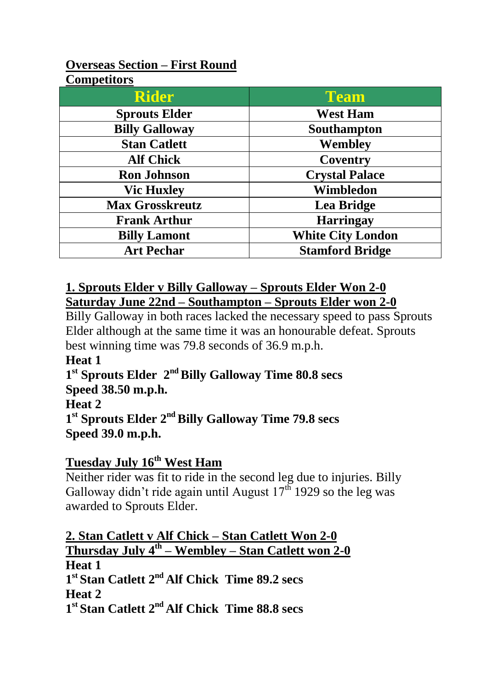#### **Overseas Section – First Round Competitors**

| Competitors              |  |
|--------------------------|--|
| <b>Team</b>              |  |
| <b>West Ham</b>          |  |
| Southampton              |  |
| Wembley                  |  |
| Coventry                 |  |
| <b>Crystal Palace</b>    |  |
| Wimbledon                |  |
| Lea Bridge               |  |
| <b>Harringay</b>         |  |
| <b>White City London</b> |  |
| <b>Stamford Bridge</b>   |  |
|                          |  |

#### **1. Sprouts Elder v Billy Galloway – Sprouts Elder Won 2-0 Saturday June 22nd – Southampton – Sprouts Elder won 2-0**

Billy Galloway in both races lacked the necessary speed to pass Sprouts Elder although at the same time it was an honourable defeat. Sprouts best winning time was 79.8 seconds of 36.9 m.p.h.

**Heat 1**

1<sup>st</sup> Sprouts Elder 2<sup>nd</sup> Billy Galloway Time 80.8 secs **Speed 38.50 m.p.h.** 

**Heat 2**

**1 st Sprouts Elder 2 ndBilly Galloway Time 79.8 secs Speed 39.0 m.p.h.**

## **Tuesday July 16th West Ham**

Neither rider was fit to ride in the second leg due to injuries. Billy Galloway didn't ride again until August  $17<sup>th</sup>$  1929 so the leg was awarded to Sprouts Elder.

**2. Stan Catlett v Alf Chick – Stan Catlett Won 2-0 Thursday July 4th – Wembley – Stan Catlett won 2-0 Heat 1 1 st Stan Catlett 2 nd Alf Chick Time 89.2 secs Heat 2 1 st Stan Catlett 2 nd Alf Chick Time 88.8 secs**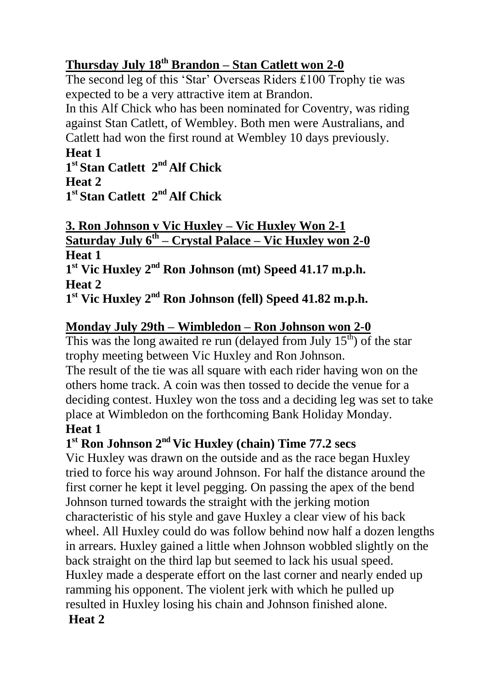## **Thursday July 18th Brandon – Stan Catlett won 2-0**

The second leg of this 'Star' Overseas Riders £100 Trophy tie was expected to be a very attractive item at Brandon.

In this Alf Chick who has been nominated for Coventry, was riding against Stan Catlett, of Wembley. Both men were Australians, and Catlett had won the first round at Wembley 10 days previously.

## **Heat 1**

1<sup>t</sup> **Stan Catlett** 2<sup>nd</sup> Alf Chick **Heat 2** 1<sup>t</sup> **Stan Catlett** 2<sup>nd</sup> Alf Chick

**3. Ron Johnson v Vic Huxley – Vic Huxley Won 2-1 Saturday July 6th – Crystal Palace – Vic Huxley won 2-0 Heat 1 1 st Vic Huxley 2 nd Ron Johnson (mt) Speed 41.17 m.p.h.**

**Heat 2**

**1 st Vic Huxley 2 nd Ron Johnson (fell) Speed 41.82 m.p.h.**

## **Monday July 29th – Wimbledon – Ron Johnson won 2-0**

This was the long awaited re run (delayed from July  $15<sup>th</sup>$ ) of the star trophy meeting between Vic Huxley and Ron Johnson. The result of the tie was all square with each rider having won on the

others home track. A coin was then tossed to decide the venue for a deciding contest. Huxley won the toss and a deciding leg was set to take place at Wimbledon on the forthcoming Bank Holiday Monday. **Heat 1**

## **1 st Ron Johnson 2 nd Vic Huxley (chain) Time 77.2 secs**

Vic Huxley was drawn on the outside and as the race began Huxley tried to force his way around Johnson. For half the distance around the first corner he kept it level pegging. On passing the apex of the bend Johnson turned towards the straight with the jerking motion characteristic of his style and gave Huxley a clear view of his back wheel. All Huxley could do was follow behind now half a dozen lengths in arrears. Huxley gained a little when Johnson wobbled slightly on the back straight on the third lap but seemed to lack his usual speed. Huxley made a desperate effort on the last corner and nearly ended up ramming his opponent. The violent jerk with which he pulled up resulted in Huxley losing his chain and Johnson finished alone.

## **Heat 2**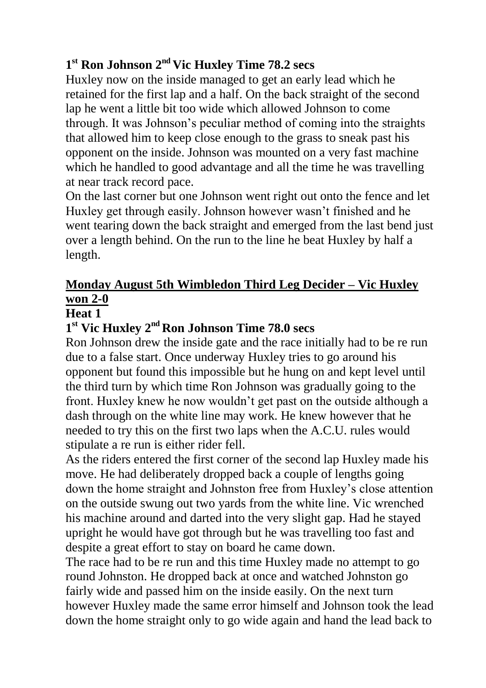## **1 st Ron Johnson 2 nd Vic Huxley Time 78.2 secs**

Huxley now on the inside managed to get an early lead which he retained for the first lap and a half. On the back straight of the second lap he went a little bit too wide which allowed Johnson to come through. It was Johnson's peculiar method of coming into the straights that allowed him to keep close enough to the grass to sneak past his opponent on the inside. Johnson was mounted on a very fast machine which he handled to good advantage and all the time he was travelling at near track record pace.

On the last corner but one Johnson went right out onto the fence and let Huxley get through easily. Johnson however wasn't finished and he went tearing down the back straight and emerged from the last bend just over a length behind. On the run to the line he beat Huxley by half a length.

## **Monday August 5th Wimbledon Third Leg Decider – Vic Huxley won 2-0**

#### **Heat 1**

## **1 st Vic Huxley 2 nd Ron Johnson Time 78.0 secs**

Ron Johnson drew the inside gate and the race initially had to be re run due to a false start. Once underway Huxley tries to go around his opponent but found this impossible but he hung on and kept level until the third turn by which time Ron Johnson was gradually going to the front. Huxley knew he now wouldn't get past on the outside although a dash through on the white line may work. He knew however that he needed to try this on the first two laps when the A.C.U. rules would stipulate a re run is either rider fell.

As the riders entered the first corner of the second lap Huxley made his move. He had deliberately dropped back a couple of lengths going down the home straight and Johnston free from Huxley's close attention on the outside swung out two yards from the white line. Vic wrenched his machine around and darted into the very slight gap. Had he stayed upright he would have got through but he was travelling too fast and despite a great effort to stay on board he came down.

The race had to be re run and this time Huxley made no attempt to go round Johnston. He dropped back at once and watched Johnston go fairly wide and passed him on the inside easily. On the next turn however Huxley made the same error himself and Johnson took the lead down the home straight only to go wide again and hand the lead back to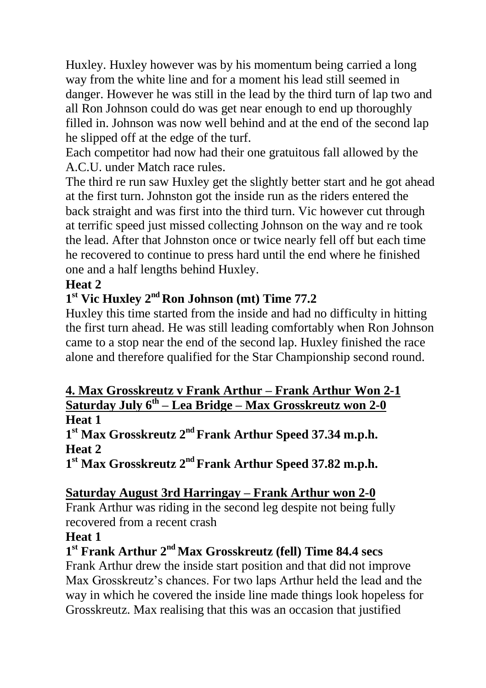Huxley. Huxley however was by his momentum being carried a long way from the white line and for a moment his lead still seemed in danger. However he was still in the lead by the third turn of lap two and all Ron Johnson could do was get near enough to end up thoroughly filled in. Johnson was now well behind and at the end of the second lap he slipped off at the edge of the turf.

Each competitor had now had their one gratuitous fall allowed by the A.C.U. under Match race rules.

The third re run saw Huxley get the slightly better start and he got ahead at the first turn. Johnston got the inside run as the riders entered the back straight and was first into the third turn. Vic however cut through at terrific speed just missed collecting Johnson on the way and re took the lead. After that Johnston once or twice nearly fell off but each time he recovered to continue to press hard until the end where he finished one and a half lengths behind Huxley.

## **Heat 2**

## **1 st Vic Huxley 2 nd Ron Johnson (mt) Time 77.2**

Huxley this time started from the inside and had no difficulty in hitting the first turn ahead. He was still leading comfortably when Ron Johnson came to a stop near the end of the second lap. Huxley finished the race alone and therefore qualified for the Star Championship second round.

#### **4. Max Grosskreutz v Frank Arthur – Frank Arthur Won 2-1 Saturday July 6th – Lea Bridge – Max Grosskreutz won 2-0 Heat 1**

**1 st Max Grosskreutz 2 nd Frank Arthur Speed 37.34 m.p.h. Heat 2**

**1 st Max Grosskreutz 2 nd Frank Arthur Speed 37.82 m.p.h.**

#### **Saturday August 3rd Harringay – Frank Arthur won 2-0**

Frank Arthur was riding in the second leg despite not being fully recovered from a recent crash

#### **Heat 1**

#### **1 st Frank Arthur 2 nd Max Grosskreutz (fell) Time 84.4 secs**

Frank Arthur drew the inside start position and that did not improve Max Grosskreutz's chances. For two laps Arthur held the lead and the way in which he covered the inside line made things look hopeless for Grosskreutz. Max realising that this was an occasion that justified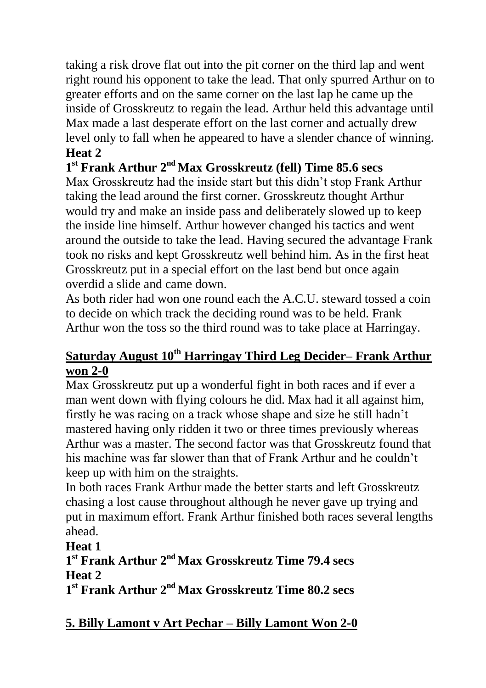taking a risk drove flat out into the pit corner on the third lap and went right round his opponent to take the lead. That only spurred Arthur on to greater efforts and on the same corner on the last lap he came up the inside of Grosskreutz to regain the lead. Arthur held this advantage until Max made a last desperate effort on the last corner and actually drew level only to fall when he appeared to have a slender chance of winning. **Heat 2**

## **1 st Frank Arthur 2 nd Max Grosskreutz (fell) Time 85.6 secs**

Max Grosskreutz had the inside start but this didn't stop Frank Arthur taking the lead around the first corner. Grosskreutz thought Arthur would try and make an inside pass and deliberately slowed up to keep the inside line himself. Arthur however changed his tactics and went around the outside to take the lead. Having secured the advantage Frank took no risks and kept Grosskreutz well behind him. As in the first heat Grosskreutz put in a special effort on the last bend but once again overdid a slide and came down.

As both rider had won one round each the A.C.U. steward tossed a coin to decide on which track the deciding round was to be held. Frank Arthur won the toss so the third round was to take place at Harringay.

## **Saturday August 10th Harringay Third Leg Decider– Frank Arthur won 2-0**

Max Grosskreutz put up a wonderful fight in both races and if ever a man went down with flying colours he did. Max had it all against him, firstly he was racing on a track whose shape and size he still hadn't mastered having only ridden it two or three times previously whereas Arthur was a master. The second factor was that Grosskreutz found that his machine was far slower than that of Frank Arthur and he couldn't keep up with him on the straights.

In both races Frank Arthur made the better starts and left Grosskreutz chasing a lost cause throughout although he never gave up trying and put in maximum effort. Frank Arthur finished both races several lengths ahead.

#### **Heat 1**

## **1 st Frank Arthur 2 nd Max Grosskreutz Time 79.4 secs Heat 2**

**1 st Frank Arthur 2 nd Max Grosskreutz Time 80.2 secs**

## **5. Billy Lamont v Art Pechar – Billy Lamont Won 2-0**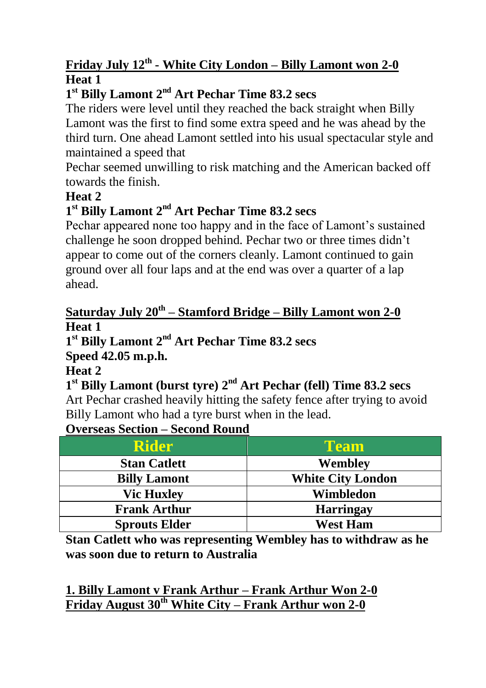## **Friday July 12th - White City London – Billy Lamont won 2-0 Heat 1**

## **1 st Billy Lamont 2 nd Art Pechar Time 83.2 secs**

The riders were level until they reached the back straight when Billy Lamont was the first to find some extra speed and he was ahead by the third turn. One ahead Lamont settled into his usual spectacular style and maintained a speed that

Pechar seemed unwilling to risk matching and the American backed off towards the finish.

## **Heat 2**

## **1 st Billy Lamont 2 nd Art Pechar Time 83.2 secs**

Pechar appeared none too happy and in the face of Lamont's sustained challenge he soon dropped behind. Pechar two or three times didn't appear to come out of the corners cleanly. Lamont continued to gain ground over all four laps and at the end was over a quarter of a lap ahead.

#### **Saturday July 20th – Stamford Bridge – Billy Lamont won 2-0 Heat 1**

## **1 st Billy Lamont 2 nd Art Pechar Time 83.2 secs**

## **Speed 42.05 m.p.h.**

**Heat 2**

**1 st Billy Lamont (burst tyre) 2 nd Art Pechar (fell) Time 83.2 secs**

Art Pechar crashed heavily hitting the safety fence after trying to avoid Billy Lamont who had a tyre burst when in the lead.

#### **Overseas Section – Second Round**

| <b>Rider</b>         | <b>Team</b>              |
|----------------------|--------------------------|
| <b>Stan Catlett</b>  | Wembley                  |
| <b>Billy Lamont</b>  | <b>White City London</b> |
| <b>Vic Huxley</b>    | Wimbledon                |
| <b>Frank Arthur</b>  | <b>Harringay</b>         |
| <b>Sprouts Elder</b> | <b>West Ham</b>          |

**Stan Catlett who was representing Wembley has to withdraw as he was soon due to return to Australia**

**1. Billy Lamont v Frank Arthur – Frank Arthur Won 2-0 Friday August 30th White City – Frank Arthur won 2-0**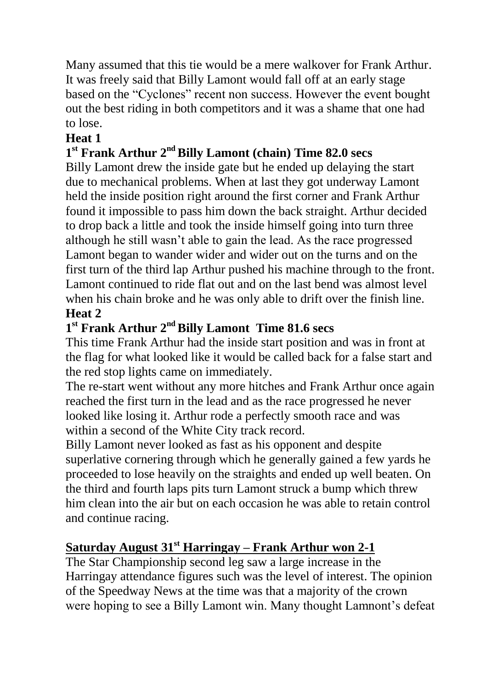Many assumed that this tie would be a mere walkover for Frank Arthur. It was freely said that Billy Lamont would fall off at an early stage based on the "Cyclones" recent non success. However the event bought out the best riding in both competitors and it was a shame that one had to lose.

## **Heat 1**

## **1 st Frank Arthur 2 ndBilly Lamont (chain) Time 82.0 secs**

Billy Lamont drew the inside gate but he ended up delaying the start due to mechanical problems. When at last they got underway Lamont held the inside position right around the first corner and Frank Arthur found it impossible to pass him down the back straight. Arthur decided to drop back a little and took the inside himself going into turn three although he still wasn't able to gain the lead. As the race progressed Lamont began to wander wider and wider out on the turns and on the first turn of the third lap Arthur pushed his machine through to the front. Lamont continued to ride flat out and on the last bend was almost level when his chain broke and he was only able to drift over the finish line.

#### **Heat 2**

## **1 st Frank Arthur 2 ndBilly Lamont Time 81.6 secs**

This time Frank Arthur had the inside start position and was in front at the flag for what looked like it would be called back for a false start and the red stop lights came on immediately.

The re-start went without any more hitches and Frank Arthur once again reached the first turn in the lead and as the race progressed he never looked like losing it. Arthur rode a perfectly smooth race and was within a second of the White City track record.

Billy Lamont never looked as fast as his opponent and despite superlative cornering through which he generally gained a few yards he proceeded to lose heavily on the straights and ended up well beaten. On the third and fourth laps pits turn Lamont struck a bump which threw him clean into the air but on each occasion he was able to retain control and continue racing.

## **Saturday August 31st Harringay – Frank Arthur won 2-1**

The Star Championship second leg saw a large increase in the Harringay attendance figures such was the level of interest. The opinion of the Speedway News at the time was that a majority of the crown were hoping to see a Billy Lamont win. Many thought Lamnont's defeat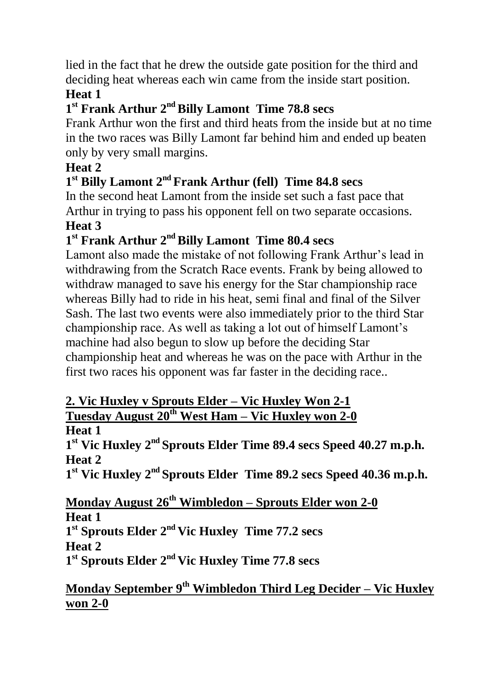lied in the fact that he drew the outside gate position for the third and deciding heat whereas each win came from the inside start position.

## **Heat 1**

## 1<sup>st</sup> Frank Arthur 2<sup>nd</sup> Billy Lamont Time 78.8 secs

Frank Arthur won the first and third heats from the inside but at no time in the two races was Billy Lamont far behind him and ended up beaten only by very small margins.

## **Heat 2**

## 1<sup>st</sup> Billy Lamont 2<sup>nd</sup> Frank Arthur (fell) Time 84.8 secs

In the second heat Lamont from the inside set such a fast pace that Arthur in trying to pass his opponent fell on two separate occasions.

## **Heat 3**

## 1<sup>st</sup> Frank Arthur 2<sup>nd</sup> Billy Lamont Time 80.4 secs

Lamont also made the mistake of not following Frank Arthur's lead in withdrawing from the Scratch Race events. Frank by being allowed to withdraw managed to save his energy for the Star championship race whereas Billy had to ride in his heat, semi final and final of the Silver Sash. The last two events were also immediately prior to the third Star championship race. As well as taking a lot out of himself Lamont's machine had also begun to slow up before the deciding Star championship heat and whereas he was on the pace with Arthur in the first two races his opponent was far faster in the deciding race..

#### **2. Vic Huxley v Sprouts Elder – Vic Huxley Won 2-1 Tuesday August 20th West Ham – Vic Huxley won 2-0**

## **Heat 1**

**1 st Vic Huxley 2 nd Sprouts Elder Time 89.4 secs Speed 40.27 m.p.h. Heat 2**

**1 st Vic Huxley 2 nd Sprouts Elder Time 89.2 secs Speed 40.36 m.p.h.**

#### **Monday August 26th Wimbledon – Sprouts Elder won 2-0 Heat 1 1 st Sprouts Elder 2 nd Vic Huxley Time 77.2 secs Heat 2**

**1 st Sprouts Elder 2 nd Vic Huxley Time 77.8 secs**

## **Monday September 9th Wimbledon Third Leg Decider – Vic Huxley won 2-0**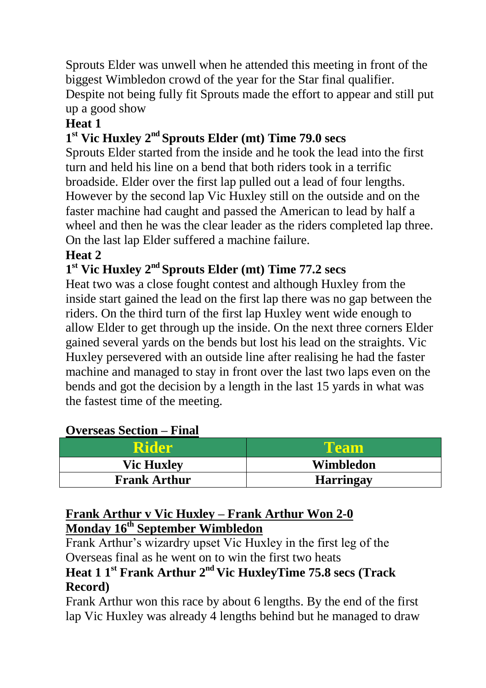Sprouts Elder was unwell when he attended this meeting in front of the biggest Wimbledon crowd of the year for the Star final qualifier. Despite not being fully fit Sprouts made the effort to appear and still put up a good show

## **Heat 1**

## **1 st Vic Huxley 2 nd Sprouts Elder (mt) Time 79.0 secs**

Sprouts Elder started from the inside and he took the lead into the first turn and held his line on a bend that both riders took in a terrific broadside. Elder over the first lap pulled out a lead of four lengths. However by the second lap Vic Huxley still on the outside and on the faster machine had caught and passed the American to lead by half a wheel and then he was the clear leader as the riders completed lap three. On the last lap Elder suffered a machine failure.

#### **Heat 2**

#### **1 st Vic Huxley 2 nd Sprouts Elder (mt) Time 77.2 secs**

Heat two was a close fought contest and although Huxley from the inside start gained the lead on the first lap there was no gap between the riders. On the third turn of the first lap Huxley went wide enough to allow Elder to get through up the inside. On the next three corners Elder gained several yards on the bends but lost his lead on the straights. Vic Huxley persevered with an outside line after realising he had the faster machine and managed to stay in front over the last two laps even on the bends and got the decision by a length in the last 15 yards in what was the fastest time of the meeting.

| <b>Rider</b>        | Team             |
|---------------------|------------------|
| <b>Vic Huxley</b>   | Wimbledon        |
| <b>Frank Arthur</b> | <b>Harringay</b> |

#### **Overseas Section – Final**

#### **Frank Arthur v Vic Huxley – Frank Arthur Won 2-0 Monday 16th September Wimbledon**

Frank Arthur's wizardry upset Vic Huxley in the first leg of the Overseas final as he went on to win the first two heats

## **Heat 1 1 st Frank Arthur 2nd Vic HuxleyTime 75.8 secs (Track Record)**

Frank Arthur won this race by about 6 lengths. By the end of the first lap Vic Huxley was already 4 lengths behind but he managed to draw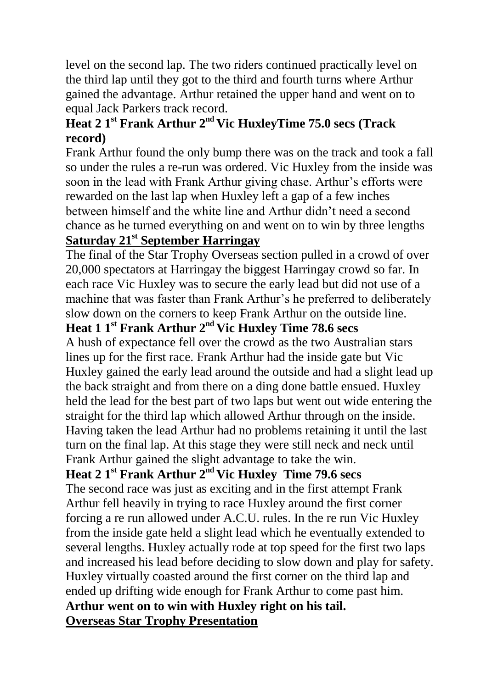level on the second lap. The two riders continued practically level on the third lap until they got to the third and fourth turns where Arthur gained the advantage. Arthur retained the upper hand and went on to equal Jack Parkers track record.

## **Heat 2 1 st Frank Arthur 2nd Vic HuxleyTime 75.0 secs (Track record)**

Frank Arthur found the only bump there was on the track and took a fall so under the rules a re-run was ordered. Vic Huxley from the inside was soon in the lead with Frank Arthur giving chase. Arthur's efforts were rewarded on the last lap when Huxley left a gap of a few inches between himself and the white line and Arthur didn't need a second chance as he turned everything on and went on to win by three lengths **Saturday 21st September Harringay**

The final of the Star Trophy Overseas section pulled in a crowd of over 20,000 spectators at Harringay the biggest Harringay crowd so far. In each race Vic Huxley was to secure the early lead but did not use of a machine that was faster than Frank Arthur's he preferred to deliberately slow down on the corners to keep Frank Arthur on the outside line.

## **Heat 1 1 st Frank Arthur 2nd Vic Huxley Time 78.6 secs**

A hush of expectance fell over the crowd as the two Australian stars lines up for the first race. Frank Arthur had the inside gate but Vic Huxley gained the early lead around the outside and had a slight lead up the back straight and from there on a ding done battle ensued. Huxley held the lead for the best part of two laps but went out wide entering the straight for the third lap which allowed Arthur through on the inside. Having taken the lead Arthur had no problems retaining it until the last turn on the final lap. At this stage they were still neck and neck until Frank Arthur gained the slight advantage to take the win.

## **Heat 2 1 st Frank Arthur 2nd Vic Huxley Time 79.6 secs**

The second race was just as exciting and in the first attempt Frank Arthur fell heavily in trying to race Huxley around the first corner forcing a re run allowed under A.C.U. rules. In the re run Vic Huxley from the inside gate held a slight lead which he eventually extended to several lengths. Huxley actually rode at top speed for the first two laps and increased his lead before deciding to slow down and play for safety. Huxley virtually coasted around the first corner on the third lap and ended up drifting wide enough for Frank Arthur to come past him. **Arthur went on to win with Huxley right on his tail. Overseas Star Trophy Presentation**